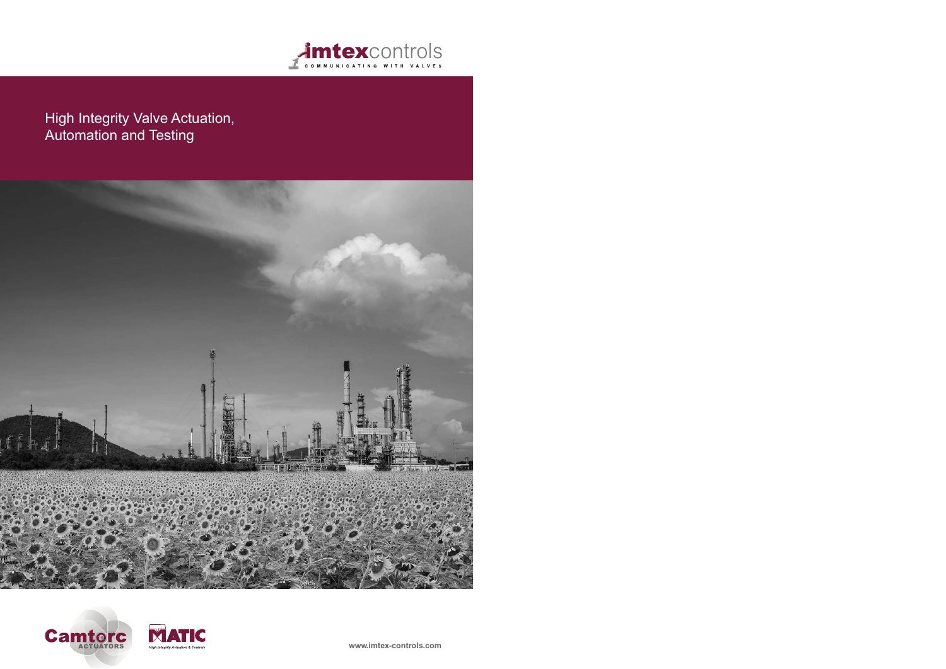

# High Integrity Valve Actuation, Automation and Testing







**www.imtex-controls.com**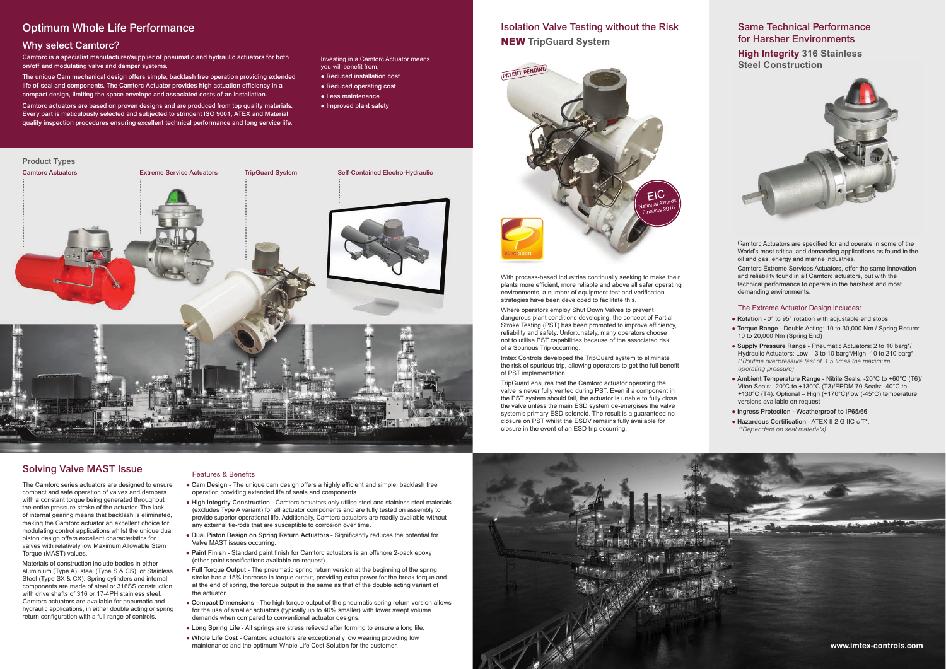# **Optimum Whole Life Performance**

### **Why select Camtorc?**

**Camtorc is a specialist manufacturer/supplier of pneumatic and hydraulic actuators for both on/off and modulating valve and damper systems.**

**The unique Cam mechanical design offers simple, backlash free operation providing extended life of seal and components. The Camtorc Actuator provides high actuation efficiency in a compact design, limiting the space envelope and associated costs of an installation.**

**Camtorc actuators are based on proven designs and are produced from top quality materials. Every part is meticulously selected and subjected to stringent ISO 9001, ATEX and Material quality inspection procedures ensuring excellent technical performance and long service life.**

Investing in a Camtorc Actuator means you will benefit from;

- **Reduced installation cost**
- **Reduced operating cost**
- **Less maintenance**
- **Improved plant safety**

# **Isolation Valve Testing without the Risk** NEW **TripGuard System**

With process-based industries continually seeking to make their plants more efficient, more reliable and above all safer operating environments, a number of equipment test and verification strategies have been developed to facilitate this.

Where operators employ Shut Down Valves to prevent dangerous plant conditions developing, the concept of Partial Stroke Testing (PST) has been promoted to improve efficiency, reliability and safety. Unfortunately, many operators choose not to utilise PST capabilities because of the associated risk of a Spurious Trip occurring.

Imtex Controls developed the TripGuard system to eliminate the risk of spurious trip, allowing operators to get the full benefit of PST implementation.

- **Rotation** 0° to 95° rotation with adjustable end stops
- **Torque Range** Double Acting: 10 to 30,000 Nm / Spring Return: 10 to 20,000 Nm (Spring End)
- **Supply Pressure Range**  Pneumatic Actuators: 2 to 10 barg\*/ Hydraulic Actuators: Low – 3 to 10 barg\*/High -10 to 210 barg\* *(\*Routine overpressure test of 1.5 times the maximum operating pressure)*
- **Ambient Temperature Range** Nitrile Seals: -20°C to +60°C (T6)/ Viton Seals: -20°C to +130°C (T3)/EPDM 70 Seals: -40°C to +130°C (T4). Optional – High (+170°C)/low (-45°C) temperature versions available on request
- **Ingress Protection Weatherproof to IP65/66**
- **Hazardous Certification** ATEX II 2 G IIC c T\*. *(\*Dependent on seal materials)*

The Camtorc series actuators are designed to ensure compact and safe operation of valves and dampers with a constant torque being generated throughout the entire pressure stroke of the actuator. The lack of internal gearing means that backlash is eliminated, making the Camtorc actuator an excellent choice for modulating control applications whilst the unique dual piston design offers excellent characteristics for valves with relatively low Maximum Allowable Stem Torque (MAST) values.

TripGuard ensures that the Camtorc actuator operating the valve is never fully vented during PST. Even if a component in the PST system should fail, the actuator is unable to fully close the valve unless the main ESD system de-energises the valve system's primary ESD solenoid. The result is a guaranteed no closure on PST whilst the ESDV remains fully available for closure in the event of an ESD trip occurring.



Camtorc Actuators are specified for and operate in some of the World's most critical and demanding applications as found in the oil and gas, energy and marine industries.

Camtorc Extreme Services Actuators, offer the same innovation and reliability found in all Camtorc actuators, but with the technical performance to operate in the harshest and most demanding environments.

#### The Extreme Actuator Design includes:

# **Same Technical Performance for Harsher Environments High Integrity 316 Stainless Steel Construction**



### **Solving Valve MAST Issue**

Materials of construction include bodies in either aluminium (Type A), steel (Type S & CS), or Stainless Steel (Type SX & CX). Spring cylinders and internal components are made of steel or 316SS construction with drive shafts of 316 or 17-4PH stainless steel Camtorc actuators are available for pneumatic and hydraulic applications, in either double acting or spring return configuration with a full range of controls.

#### Features & Benefits

- **Cam Design** The unique cam design offers a highly efficient and simple, backlash free operation providing extended life of seals and components.
- **High Integrity Construction** Camtorc actuators only utilise steel and stainless steel materials (excludes Type A variant) for all actuator components and are fully tested on assembly to provide superior operational life. Additionally, Camtorc actuators are readily available without any external tie-rods that are susceptible to corrosion over time.
- **Dual Piston Design on Spring Return Actuators** Significantly reduces the potential for Valve MAST issues occurring.
- **Paint Finish** Standard paint finish for Camtorc actuators is an offshore 2-pack epoxy (other paint specifications available on request).
- **Full Torque Output** The pneumatic spring return version at the beginning of the spring stroke has a 15% increase in torque output, providing extra power for the break torque and at the end of spring, the torque output is the same as that of the double acting variant of the actuator.
- **Compact Dimensions** The high torque output of the pneumatic spring return version allows for the use of smaller actuators (typically up to 40% smaller) with lower swept volume demands when compared to conventional actuator designs.
- **Long Spring Life** All springs are stress relieved after forming to ensure a long life.
- **Whole Life Cost** Camtorc actuators are exceptionally low wearing providing low maintenance and the optimum Whole Life Cost Solution for the customer.